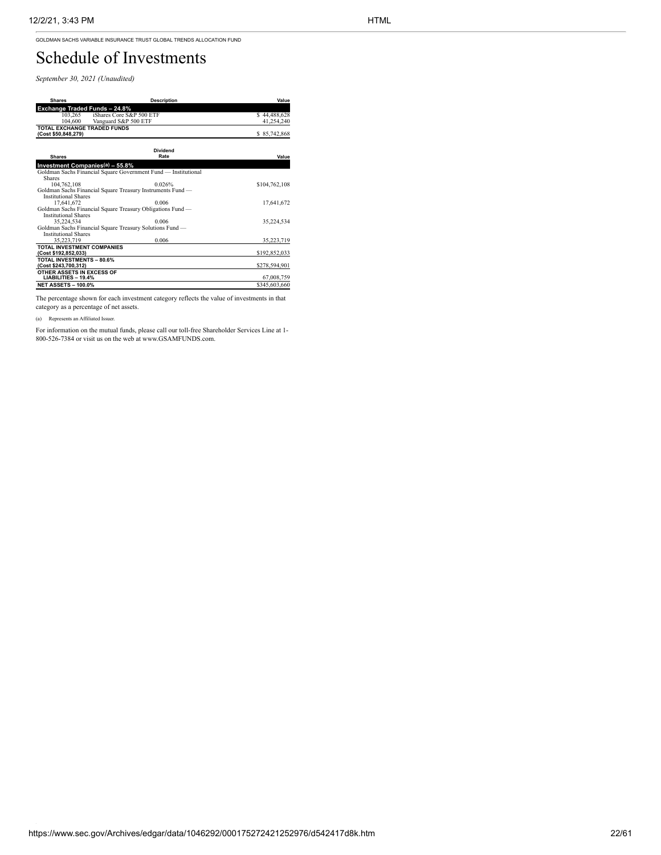GOLDMAN SACHS VARIABLE INSURANCE TRUST GLOBAL TRENDS ALLOCATION FUND

## Schedule of Investments

*September 30, 2021 (Unaudited)*

| <b>Shares</b>                                            | <b>Description</b>                                             | Value         |  |
|----------------------------------------------------------|----------------------------------------------------------------|---------------|--|
| <b>Exchange Traded Funds-24.8%</b>                       |                                                                |               |  |
| iShares Core S&P 500 ETF<br>103.265                      |                                                                | \$44,488,628  |  |
| 104,600<br>Vanguard S&P 500 ETF                          |                                                                | 41,254,240    |  |
| <b>TOTAL EXCHANGE TRADED FUNDS</b>                       |                                                                |               |  |
| (Cost \$50,848,279)                                      |                                                                | \$85,742,868  |  |
|                                                          |                                                                |               |  |
| <b>Dividend</b>                                          |                                                                |               |  |
| <b>Shares</b>                                            | Rate                                                           | Value         |  |
| Investment Companies(a) - 55.8%                          |                                                                |               |  |
|                                                          | Goldman Sachs Financial Square Government Fund - Institutional |               |  |
| Shares                                                   |                                                                |               |  |
| 104,762,108                                              | 0.026%                                                         | \$104,762,108 |  |
|                                                          | Goldman Sachs Financial Square Treasury Instruments Fund -     |               |  |
| <b>Institutional Shares</b>                              |                                                                |               |  |
| 17.641.672                                               | 0.006                                                          | 17.641.672    |  |
|                                                          | Goldman Sachs Financial Square Treasury Obligations Fund -     |               |  |
| <b>Institutional Shares</b>                              |                                                                |               |  |
| 35.224.534                                               | 0.006                                                          | 35.224.534    |  |
|                                                          | Goldman Sachs Financial Square Treasury Solutions Fund -       |               |  |
| <b>Institutional Shares</b>                              |                                                                |               |  |
| 35.223.719                                               | 0.006                                                          | 35,223,719    |  |
| <b>TOTAL INVESTMENT COMPANIES</b>                        |                                                                |               |  |
| (Cost \$192,852,033)                                     |                                                                | \$192,852,033 |  |
| <b>TOTAL INVESTMENTS - 80.6%</b><br>(Cost \$243,700,312) |                                                                | \$278,594,901 |  |
| OTHER ASSETS IN EXCESS OF                                |                                                                |               |  |
| LIABILITIES - 19.4%                                      |                                                                | 67,008,759    |  |
| <b>NET ASSETS - 100.0%</b>                               |                                                                | \$345,603,660 |  |

The percentage shown for each investment category reflects the value of investments in that category as a percentage of net assets.

(a) Represents an Affiliated Issuer.

For information on the mutual funds, please call our toll-free Shareholder Services Line at 1- 800-526-7384 or visit us on the web at www.GSAMFUNDS.com.